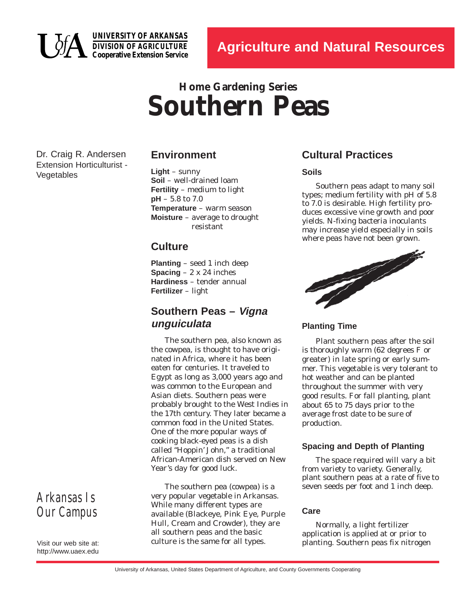

**UNIVERSITY OF ARKANSAS DIVISION OF AGRICULTURE Cooperative Extension Service**

# **Home Gardening Series Southern Peas**

Dr. Craig R. Andersen Extension Horticulturist - Vegetables

## **Environment**

**Light** – sunny **Soil** – well-drained loam **Fertility** – medium to light **pH** – 5.8 to 7.0 **Temperature** – warm season **Moisture** – average to drought resistant

## **Culture**

**Planting** – seed 1 inch deep **Spacing** – 2 x 24 inches **Hardiness** – tender annual **Fertilizer** – light

# **Southern Peas – Vigna unguiculata**

The southern pea, also known as the cowpea, is thought to have originated in Africa, where it has been eaten for centuries. It traveled to Egypt as long as 3,000 years ago and was common to the European and Asian diets. Southern peas were probably brought to the West Indies in the 17th century. They later became a common food in the United States. One of the more popular ways of cooking black-eyed peas is a dish called "Hoppin' John," a traditional African-American dish served on New Year's day for good luck.

The southern pea (cowpea) is a very popular vegetable in Arkansas. While many different types are available (Blackeye, Pink Eye, Purple Hull, Cream and Crowder), they are all southern peas and the basic culture is the same for all types.

# **Cultural Practices**

### **Soils**

Southern peas adapt to many soil types; medium fertility with pH of 5.8 to 7.0 is desirable. High fertility produces excessive vine growth and poor yields. N-fixing bacteria inoculants may increase yield especially in soils where peas have not been grown.



**Planting Time**

Plant southern peas after the soil is thoroughly warm (62 degrees F or greater) in late spring or early summer. This vegetable is very tolerant to hot weather and can be planted throughout the summer with very good results. For fall planting, plant about 65 to 75 days prior to the average frost date to be sure of production.

### **Spacing and Depth of Planting**

The space required will vary a bit from variety to variety. Generally, plant southern peas at a rate of five to seven seeds per foot and 1 inch deep.

### **Care**

Normally, a light fertilizer application is applied at or prior to planting. Southern peas fix nitrogen

# *Arkansas Is Our Campus*

Visit our web site at: http://www.uaex.edu